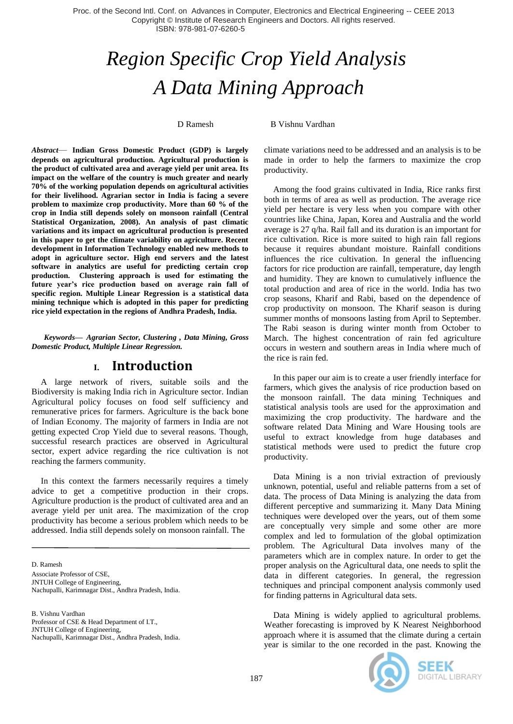# *Region Specific Crop Yield Analysis A Data Mining Approach*

D Ramesh B Vishnu Vardhan

*Abstract*— **Indian Gross Domestic Product (GDP) is largely depends on agricultural production. Agricultural production is the product of cultivated area and average yield per unit area. Its impact on the welfare of the country is much greater and nearly 70% of the working population depends on agricultural activities for their livelihood. Agrarian sector in India is facing a severe problem to maximize crop productivity. More than 60 % of the crop in India still depends solely on monsoon rainfall (Central Statistical Organization, 2008). An analysis of past climatic variations and its impact on agricultural production is presented in this paper to get the climate variability on agriculture. Recent development in Information Technology enabled new methods to adopt in agriculture sector. High end servers and the latest software in analytics are useful for predicting certain crop production. Clustering approach is used for estimating the future year's rice production based on average rain fall of specific region. Multiple Linear Regression is a statistical data mining technique which is adopted in this paper for predicting rice yield expectation in the regions of Andhra Pradesh, India.**

*Keywords— Agrarian Sector, Clustering , Data Mining, Gross Domestic Product, Multiple Linear Regression.*

#### **I. Introduction**

A large network of rivers, suitable soils and the Biodiversity is making India rich in Agriculture sector. Indian Agricultural policy focuses on food self sufficiency and remunerative prices for farmers. Agriculture is the back bone of Indian Economy. The majority of farmers in India are not getting expected Crop Yield due to several reasons. Though, successful research practices are observed in Agricultural sector, expert advice regarding the rice cultivation is not reaching the farmers community.

In this context the farmers necessarily requires a timely advice to get a competitive production in their crops. Agriculture production is the product of cultivated area and an average yield per unit area. The maximization of the crop productivity has become a serious problem which needs to be addressed. India still depends solely on monsoon rainfall. The

D. Ramesh Associate Professor of CSE, JNTUH College of Engineering, Nachupalli, Karimnagar Dist., Andhra Pradesh, India.

B. Vishnu Vardhan Professor of CSE & Head Department of I.T., JNTUH College of Engineering, Nachupalli, Karimnagar Dist., Andhra Pradesh, India. climate variations need to be addressed and an analysis is to be made in order to help the farmers to maximize the crop productivity.

Among the food grains cultivated in India, Rice ranks first both in terms of area as well as production. The average rice yield per hectare is very less when you compare with other countries like China, Japan, Korea and Australia and the world average is 27 q/ha. Rail fall and its duration is an important for rice cultivation. Rice is more suited to high rain fall regions because it requires abundant moisture. Rainfall conditions influences the rice cultivation. In general the influencing factors for rice production are rainfall, temperature, day length and humidity. They are known to cumulatively influence the total production and area of rice in the world. India has two crop seasons, Kharif and Rabi, based on the dependence of crop productivity on monsoon. The Kharif season is during summer months of monsoons lasting from April to September. The Rabi season is during winter month from October to March. The highest concentration of rain fed agriculture occurs in western and southern areas in India where much of the rice is rain fed.

In this paper our aim is to create a user friendly interface for farmers, which gives the analysis of rice production based on the monsoon rainfall. The data mining Techniques and statistical analysis tools are used for the approximation and maximizing the crop productivity. The hardware and the software related Data Mining and Ware Housing tools are useful to extract knowledge from huge databases and statistical methods were used to predict the future crop productivity.

Data Mining is a non trivial extraction of previously unknown, potential, useful and reliable patterns from a set of data. The process of Data Mining is analyzing the data from different perceptive and summarizing it. Many Data Mining techniques were developed over the years, out of them some are conceptually very simple and some other are more complex and led to formulation of the global optimization problem. The Agricultural Data involves many of the parameters which are in complex nature. In order to get the proper analysis on the Agricultural data, one needs to split the data in different categories. In general, the regression techniques and principal component analysis commonly used for finding patterns in Agricultural data sets.

Data Mining is widely applied to agricultural problems. Weather forecasting is improved by K Nearest Neighborhood approach where it is assumed that the climate during a certain year is similar to the one recorded in the past. Knowing the



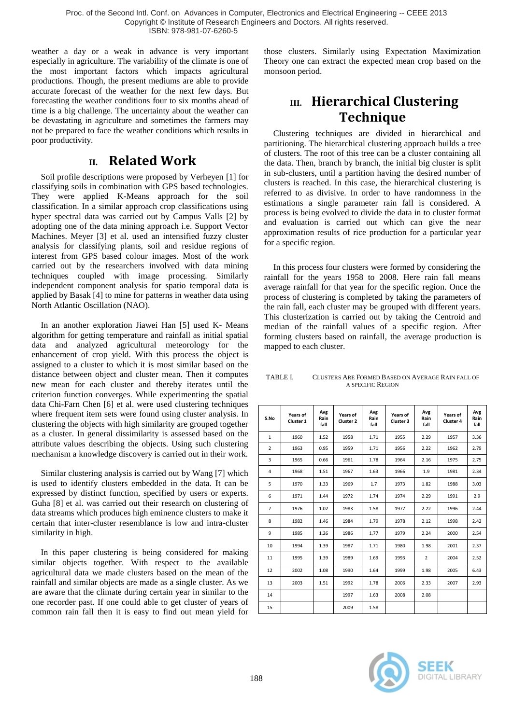weather a day or a weak in advance is very important especially in agriculture. The variability of the climate is one of the most important factors which impacts agricultural productions. Though, the present mediums are able to provide accurate forecast of the weather for the next few days. But forecasting the weather conditions four to six months ahead of time is a big challenge. The uncertainty about the weather can be devastating in agriculture and sometimes the farmers may not be prepared to face the weather conditions which results in poor productivity.

#### **II. Related Work**

Soil profile descriptions were proposed by Verheyen [1] for classifying soils in combination with GPS based technologies. They were applied K-Means approach for the soil classification. In a similar approach crop classifications using hyper spectral data was carried out by Campus Valls [2] by adopting one of the data mining approach i.e. Support Vector Machines. Meyer [3] et al. used an intensified fuzzy cluster analysis for classifying plants, soil and residue regions of interest from GPS based colour images. Most of the work carried out by the researchers involved with data mining techniques coupled with image processing. Similarly independent component analysis for spatio temporal data is applied by Basak [4] to mine for patterns in weather data using North Atlantic Oscillation (NAO).

In an another exploration Jiawei Han [5] used K- Means algorithm for getting temperature and rainfall as initial spatial data and analyzed agricultural meteorology for the enhancement of crop yield. With this process the object is assigned to a cluster to which it is most similar based on the distance between object and cluster mean. Then it computes new mean for each cluster and thereby iterates until the criterion function converges. While experimenting the spatial data Chi-Farn Chen [6] et al. were used clustering techniques where frequent item sets were found using cluster analysis. In clustering the objects with high similarity are grouped together as a cluster. In general dissimilarity is assessed based on the attribute values describing the objects. Using such clustering mechanism a knowledge discovery is carried out in their work.

Similar clustering analysis is carried out by Wang [7] which is used to identify clusters embedded in the data. It can be expressed by distinct function, specified by users or experts. Guha [8] et al. was carried out their research on clustering of data streams which produces high eminence clusters to make it certain that inter-cluster resemblance is low and intra-cluster similarity in high.

In this paper clustering is being considered for making similar objects together. With respect to the available agricultural data we made clusters based on the mean of the rainfall and similar objects are made as a single cluster. As we are aware that the climate during certain year in similar to the one recorder past. If one could able to get cluster of years of common rain fall then it is easy to find out mean yield for

those clusters. Similarly using Expectation Maximization Theory one can extract the expected mean crop based on the monsoon period.

## **III. Hierarchical Clustering Technique**

Clustering techniques are divided in hierarchical and partitioning. The hierarchical clustering approach builds a tree of clusters. The root of this tree can be a cluster containing all the data. Then, branch by branch, the initial big cluster is split in sub-clusters, until a partition having the desired number of clusters is reached. In this case, the hierarchical clustering is referred to as divisive. In order to have randomness in the estimations a single parameter rain fall is considered. A process is being evolved to divide the data in to cluster format and evaluation is carried out which can give the near approximation results of rice production for a particular year for a specific region.

In this process four clusters were formed by considering the rainfall for the years 1958 to 2008. Here rain fall means average rainfall for that year for the specific region. Once the process of clustering is completed by taking the parameters of the rain fall, each cluster may be grouped with different years. This clusterization is carried out by taking the Centroid and median of the rainfall values of a specific region. After forming clusters based on rainfall, the average production is mapped to each cluster.

| TABLE I. | CLUSTERS ARE FORMED BASED ON AVERAGE RAIN FALL OF |
|----------|---------------------------------------------------|
|          | A SPECIFIC REGION                                 |

| S.No           | Years of<br>Cluster 1 | Avg<br>Rain<br>fall | Years of<br>Cluster 2 | Avg<br>Rain<br>fall | Years of<br>Cluster 3 | Avg<br>Rain<br>fall | Years of<br>Cluster 4 | Avg<br>Rain<br>fall |
|----------------|-----------------------|---------------------|-----------------------|---------------------|-----------------------|---------------------|-----------------------|---------------------|
| 1              | 1960                  | 1.52                | 1958                  | 1.71                | 1955                  | 2.29                | 1957                  | 3.36                |
| $\overline{2}$ | 1963                  | 0.95                | 1959                  | 1.71                | 1956                  | 2.22                | 1962                  | 2.79                |
| 3              | 1965                  | 0.66                | 1961                  | 1.78                | 1964                  | 2.16                | 1975                  | 2.75                |
| 4              | 1968                  | 1.51                | 1967                  | 1.63                | 1966                  | 1.9                 | 1981                  | 2.34                |
| 5              | 1970                  | 1.33                | 1969                  | 1.7                 | 1973                  | 1.82                | 1988                  | 3.03                |
| 6              | 1971                  | 1.44                | 1972                  | 1.74                | 1974                  | 2.29                | 1991                  | 2.9                 |
| $\overline{7}$ | 1976                  | 1.02                | 1983                  | 1.58                | 1977                  | 2.22                | 1996                  | 2.44                |
| 8              | 1982                  | 1.46                | 1984                  | 1.79                | 1978                  | 2.12                | 1998                  | 2.42                |
| 9              | 1985                  | 1.26                | 1986                  | 1.77                | 1979                  | 2.24                | 2000                  | 2.54                |
| 10             | 1994                  | 1.39                | 1987                  | 1.71                | 1980                  | 1.98                | 2001                  | 2.37                |
| 11             | 1995                  | 1.39                | 1989                  | 1.69                | 1993                  | $\overline{2}$      | 2004                  | 2.52                |
| 12             | 2002                  | 1.08                | 1990                  | 1.64                | 1999                  | 1.98                | 2005                  | 6.43                |
| 13             | 2003                  | 1.51                | 1992                  | 1.78                | 2006                  | 2.33                | 2007                  | 2.93                |
| 14             |                       |                     | 1997                  | 1.63                | 2008                  | 2.08                |                       |                     |
| 15             |                       |                     | 2009                  | 1.58                |                       |                     |                       |                     |

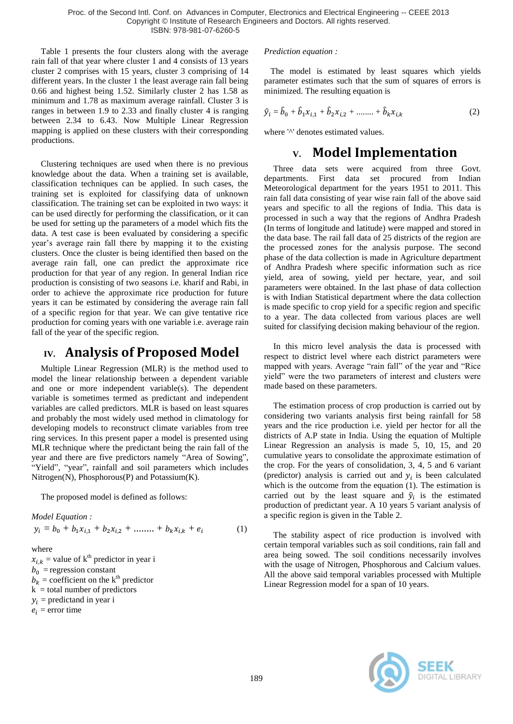Table 1 presents the four clusters along with the average rain fall of that year where cluster 1 and 4 consists of 13 years cluster 2 comprises with 15 years, cluster 3 comprising of 14 different years. In the cluster 1 the least average rain fall being 0.66 and highest being 1.52. Similarly cluster 2 has 1.58 as minimum and 1.78 as maximum average rainfall. Cluster 3 is ranges in between 1.9 to 2.33 and finally cluster 4 is ranging between 2.34 to 6.43. Now Multiple Linear Regression mapping is applied on these clusters with their corresponding productions.

Clustering techniques are used when there is no previous knowledge about the data. When a training set is available, classification techniques can be applied. In such cases, the training set is exploited for classifying data of unknown classification. The training set can be exploited in two ways: it can be used directly for performing the classification, or it can be used for setting up the parameters of a model which fits the data. A test case is been evaluated by considering a specific year's average rain fall there by mapping it to the existing clusters. Once the cluster is being identified then based on the average rain fall, one can predict the approximate rice production for that year of any region. In general Indian rice production is consisting of two seasons i.e. kharif and Rabi, in order to achieve the approximate rice production for future years it can be estimated by considering the average rain fall of a specific region for that year. We can give tentative rice production for coming years with one variable i.e. average rain fall of the year of the specific region.

#### **IV. Analysis of Proposed Model**

Multiple Linear Regression (MLR) is the method used to model the linear relationship between a dependent variable and one or more independent variable(s). The dependent variable is sometimes termed as predictant and independent variables are called predictors. MLR is based on least squares and probably the most widely used method in climatology for developing models to reconstruct climate variables from tree ring services. In this present paper a model is presented using MLR technique where the predictant being the rain fall of the year and there are five predictors namely "Area of Sowing", "Yield", "year", rainfall and soil parameters which includes Nitrogen(N), Phosphorous(P) and Potassium(K).

The proposed model is defined as follows:

*Model Equation :* 

$$
y_i = b_0 + b_1 x_{i,1} + b_2 x_{i,2} + \dots + b_k x_{i,k} + e_i \tag{1}
$$

where

 $x_{i,k}$  = value of k<sup>th</sup> predictor in year i  $b_0$  = regression constant  $b_k$  = coefficient on the k<sup>th</sup> predictor  $k =$  total number of predictors  $y_i$  = predictand in year i  $e_i$  = error time

#### *Prediction equation :*

 The model is estimated by least squares which yields parameter estimates such that the sum of squares of errors is minimized. The resulting equation is

$$
\hat{y}_i = \hat{b}_0 + \hat{b}_1 x_{i,1} + \hat{b}_2 x_{i,2} + \dots + \hat{b}_k x_{i,k}
$$
 (2)

where '^' denotes estimated values.

#### **V. Model Implementation**

Three data sets were acquired from three Govt. departments. First data set procured from Indian Meteorological department for the years 1951 to 2011. This rain fall data consisting of year wise rain fall of the above said years and specific to all the regions of India. This data is processed in such a way that the regions of Andhra Pradesh (In terms of longitude and latitude) were mapped and stored in the data base. The rail fall data of 25 districts of the region are the processed zones for the analysis purpose. The second phase of the data collection is made in Agriculture department of Andhra Pradesh where specific information such as rice yield, area of sowing, yield per hectare, year, and soil parameters were obtained. In the last phase of data collection is with Indian Statistical department where the data collection is made specific to crop yield for a specific region and specific to a year. The data collected from various places are well suited for classifying decision making behaviour of the region.

In this micro level analysis the data is processed with respect to district level where each district parameters were mapped with years. Average "rain fall" of the year and "Rice" yield" were the two parameters of interest and clusters were made based on these parameters.

The estimation process of crop production is carried out by considering two variants analysis first being rainfall for 58 years and the rice production i.e. yield per hector for all the districts of A.P state in India. Using the equation of Multiple Linear Regression an analysis is made 5, 10, 15, and 20 cumulative years to consolidate the approximate estimation of the crop. For the years of consolidation, 3, 4, 5 and 6 variant (predictor) analysis is carried out and  $y_i$  is been calculated which is the outcome from the equation (1). The estimation is carried out by the least square and  $\hat{y}_i$  is the estimated production of predictant year. A 10 years 5 variant analysis of a specific region is given in the Table 2.

The stability aspect of rice production is involved with certain temporal variables such as soil conditions, rain fall and area being sowed. The soil conditions necessarily involves with the usage of Nitrogen, Phosphorous and Calcium values. All the above said temporal variables processed with Multiple Linear Regression model for a span of 10 years.